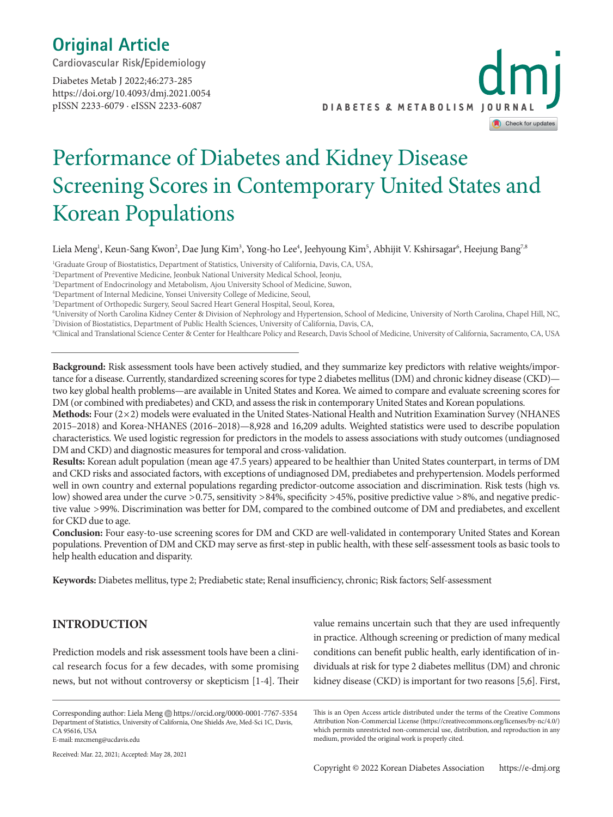# **Original Article**

**Cardiovascular Risk/Epidemiology** 

https://doi.org/10.4093/dmj.2021.0054 pISSN 2233-6079 · eISSN 2233-6087 Diabetes Metab J 2022;46:273-285



# Performance of Diabetes and Kidney Disease Screening Scores in Contemporary United States and Korean Populations

Liela Meng<sup>1</sup>, Keun-Sang Kwon<sup>2</sup>, Dae Jung Kim<sup>3</sup>, Yong-ho Lee<sup>4</sup>, Jeehyoung Kim<sup>5</sup>, Abhijit V. Kshirsagar<sup>6</sup>, Heejung Bang<sup>7,8</sup>

1 Graduate Group of Biostatistics, Department of Statistics, University of California, Davis, CA, USA,

2 Department of Preventive Medicine, Jeonbuk National University Medical School, Jeonju,

3 Department of Endocrinology and Metabolism, Ajou University School of Medicine, Suwon,

4 Department of Internal Medicine, Yonsei University College of Medicine, Seoul,

5 Department of Orthopedic Surgery, Seoul Sacred Heart General Hospital, Seoul, Korea,

6 University of North Carolina Kidney Center & Division of Nephrology and Hypertension, School of Medicine, University of North Carolina, Chapel Hill, NC, 7 Division of Biostatistics, Department of Public Health Sciences, University of California, Davis, CA,

8 Clinical and Translational Science Center & Center for Healthcare Policy and Research, Davis School of Medicine, University of California, Sacramento, CA, USA

**Background:** Risk assessment tools have been actively studied, and they summarize key predictors with relative weights/importance for a disease. Currently, standardized screening scores for type 2 diabetes mellitus (DM) and chronic kidney disease (CKD) two key global health problems—are available in United States and Korea. We aimed to compare and evaluate screening scores for DM (or combined with prediabetes) and CKD, and assess the risk in contemporary United States and Korean populations.

**Methods:** Four (2×2) models were evaluated in the United States-National Health and Nutrition Examination Survey (NHANES 2015–2018) and Korea-NHANES (2016–2018)—8,928 and 16,209 adults. Weighted statistics were used to describe population characteristics. We used logistic regression for predictors in the models to assess associations with study outcomes (undiagnosed DM and CKD) and diagnostic measures for temporal and cross-validation.

**Results:** Korean adult population (mean age 47.5 years) appeared to be healthier than United States counterpart, in terms of DM and CKD risks and associated factors, with exceptions of undiagnosed DM, prediabetes and prehypertension. Models performed well in own country and external populations regarding predictor-outcome association and discrimination. Risk tests (high vs. low) showed area under the curve >0.75, sensitivity >84%, specificity >45%, positive predictive value >8%, and negative predictive value >99%. Discrimination was better for DM, compared to the combined outcome of DM and prediabetes, and excellent for CKD due to age.

**Conclusion:** Four easy-to-use screening scores for DM and CKD are well-validated in contemporary United States and Korean populations. Prevention of DM and CKD may serve as first-step in public health, with these self-assessment tools as basic tools to help health education and disparity.

**Keywords:** Diabetes mellitus, type 2; Prediabetic state; Renal insufficiency, chronic; Risk factors; Self-assessment

# **INTRODUCTION**

Prediction models and risk assessment tools have been a clinical research focus for a few decades, with some promising news, but not without controversy or skepticism [1-4]. Their

Corresponding author: Liela Meng https://orcid.org/0000-0001-7767-5354 Department of Statistics, University of California, One Shields Ave, Med-Sci 1C, Davis, CA 95616, USA E-mail: mzcmeng@ucdavis.edu

Received: Mar. 22, 2021; Accepted: May 28, 2021

value remains uncertain such that they are used infrequently in practice. Although screening or prediction of many medical conditions can benefit public health, early identification of individuals at risk for type 2 diabetes mellitus (DM) and chronic kidney disease (CKD) is important for two reasons [5,6]. First,

This is an Open Access article distributed under the terms of the Creative Commons Attribution Non-Commercial License (https://creativecommons.org/licenses/by-nc/4.0/) which permits unrestricted non-commercial use, distribution, and reproduction in any medium, provided the original work is properly cited.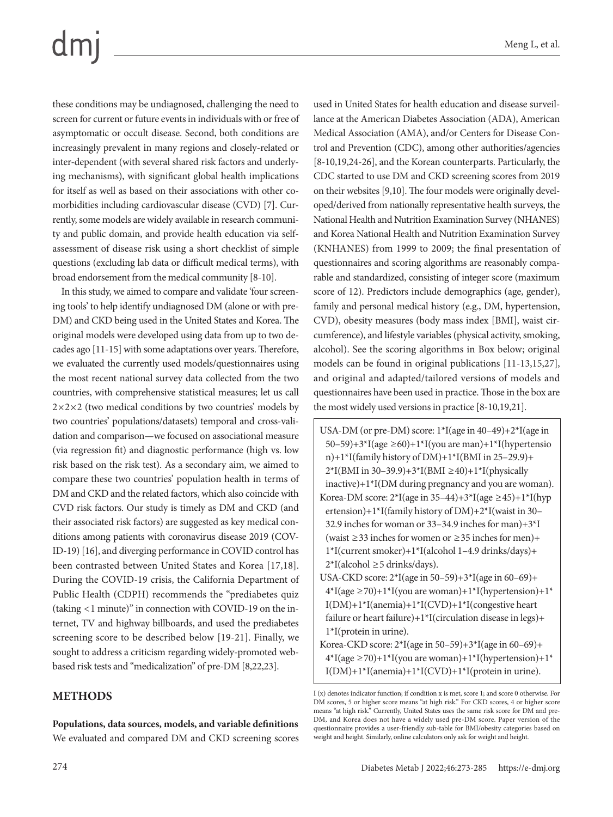these conditions may be undiagnosed, challenging the need to screen for current or future events in individuals with or free of asymptomatic or occult disease. Second, both conditions are increasingly prevalent in many regions and closely-related or inter-dependent (with several shared risk factors and underlying mechanisms), with significant global health implications for itself as well as based on their associations with other comorbidities including cardiovascular disease (CVD) [7]. Currently, some models are widely available in research community and public domain, and provide health education via selfassessment of disease risk using a short checklist of simple questions (excluding lab data or difficult medical terms), with broad endorsement from the medical community [8-10].

In this study, we aimed to compare and validate 'four screening tools' to help identify undiagnosed DM (alone or with pre-DM) and CKD being used in the United States and Korea. The original models were developed using data from up to two decades ago [11-15] with some adaptations over years. Therefore, we evaluated the currently used models/questionnaires using the most recent national survey data collected from the two countries, with comprehensive statistical measures; let us call  $2\times2\times2$  (two medical conditions by two countries' models by two countries' populations/datasets) temporal and cross-validation and comparison—we focused on associational measure (via regression fit) and diagnostic performance (high vs. low risk based on the risk test). As a secondary aim, we aimed to compare these two countries' population health in terms of DM and CKD and the related factors, which also coincide with CVD risk factors. Our study is timely as DM and CKD (and their associated risk factors) are suggested as key medical conditions among patients with coronavirus disease 2019 (COV-ID-19) [16], and diverging performance in COVID control has been contrasted between United States and Korea [17,18]. During the COVID-19 crisis, the California Department of Public Health (CDPH) recommends the "prediabetes quiz (taking <1 minute)" in connection with COVID-19 on the internet, TV and highway billboards, and used the prediabetes screening score to be described below [19-21]. Finally, we sought to address a criticism regarding widely-promoted webbased risk tests and "medicalization" of pre-DM [8,22,23].

# **METHODS**

used in United States for health education and disease surveillance at the American Diabetes Association (ADA), American Medical Association (AMA), and/or Centers for Disease Control and Prevention (CDC), among other authorities/agencies [8-10,19,24-26], and the Korean counterparts. Particularly, the CDC started to use DM and CKD screening scores from 2019 on their websites [9,10]. The four models were originally developed/derived from nationally representative health surveys, the National Health and Nutrition Examination Survey (NHANES) and Korea National Health and Nutrition Examination Survey (KNHANES) from 1999 to 2009; the final presentation of questionnaires and scoring algorithms are reasonably comparable and standardized, consisting of integer score (maximum score of 12). Predictors include demographics (age, gender), family and personal medical history (e.g., DM, hypertension, CVD), obesity measures (body mass index [BMI], waist circumference), and lifestyle variables (physical activity, smoking, alcohol). See the scoring algorithms in Box below; original models can be found in original publications [11-13,15,27], and original and adapted/tailored versions of models and questionnaires have been used in practice. Those in the box are the most widely used versions in practice [8-10,19,21].

- USA-DM (or pre-DM) score: 1\*I(age in 40–49)+2\*I(age in 50–59)+3\*I(age  $\geq$  60)+1\*I(you are man)+1\*I(hypertensio n)+1\*I(family history of DM)+1\*I(BMI in 25–29.9)+  $2*I(BMI \text{ in } 30-39.9)+3*I(BMI \ge 40)+1*I(physically)$ inactive)+1\*I(DM during pregnancy and you are woman). Korea-DM score:  $2 \times I$ (age in 35–44)+3 $\times I$ (age  $\geq 45$ )+1 $\times I$ (hyp ertension)+1\*I(family history of DM)+2\*I(waist in 30– 32.9 inches for woman or 33–34.9 inches for man)+3\*I (waist ≥33 inches for women or ≥35 inches for men)+ 1\*I(current smoker)+1\*I(alcohol 1–4.9 drinks/days)+  $2 \times I$ (alcohol  $\geq 5$  drinks/days).
- USA-CKD score: 2\*I(age in 50–59)+3\*I(age in 60–69)+  $4*I(age \ge 70)+1*I(you are woman)+1*I(hypertension)+1*$ I(DM)+1\*I(anemia)+1\*I(CVD)+1\*I(congestive heart failure or heart failure)+1\*I(circulation disease in legs)+ 1\*I(protein in urine).
- Korea-CKD score: 2\*I(age in 50–59)+3\*I(age in 60–69)+  $4*I(age \ge 70)+1*I(you are woman)+1*I(hypertension)+1*$ I(DM)+1\*I(anemia)+1\*I(CVD)+1\*I(protein in urine).

I (x) denotes indicator function; if condition x is met, score 1; and score 0 otherwise. For

DM scores, 5 or higher score means "at high risk." For CKD scores, 4 or higher score means "at high risk." Currently, United States uses the same risk score for DM and pre-DM, and Korea does not have a widely used pre-DM score. Paper version of the questionnaire provides a user-friendly sub-table for BMI/obesity categories based on weight and height. Similarly, online calculators only ask for weight and height.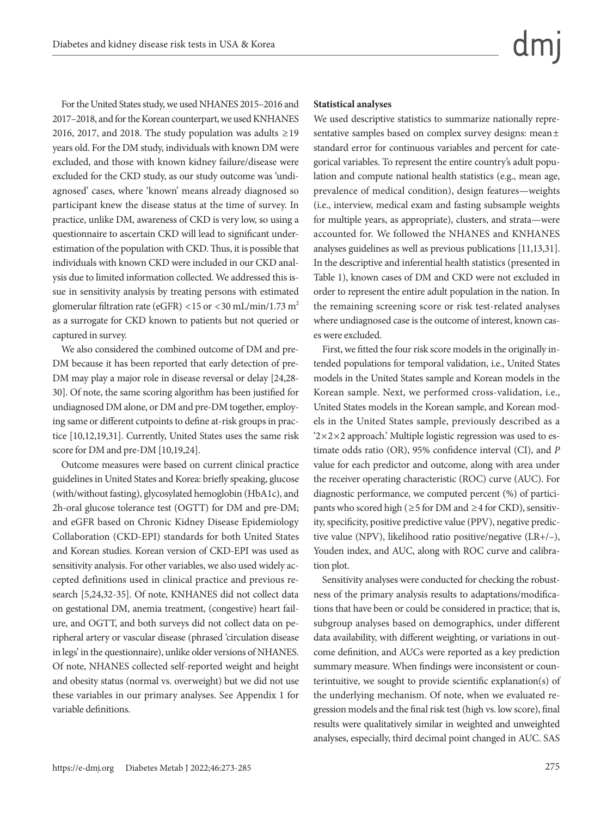For the United States study, we used NHANES 2015–2016 and 2017–2018, and for the Korean counterpart, we used KNHANES 2016, 2017, and 2018. The study population was adults  $\geq$  19 years old. For the DM study, individuals with known DM were excluded, and those with known kidney failure/disease were excluded for the CKD study, as our study outcome was 'undiagnosed' cases, where 'known' means already diagnosed so participant knew the disease status at the time of survey. In practice, unlike DM, awareness of CKD is very low, so using a questionnaire to ascertain CKD will lead to significant underestimation of the population with CKD. Thus, it is possible that individuals with known CKD were included in our CKD analysis due to limited information collected. We addressed this issue in sensitivity analysis by treating persons with estimated glomerular filtration rate (eGFR) <15 or <30 mL/min/1.73 m<sup>2</sup> as a surrogate for CKD known to patients but not queried or captured in survey.

We also considered the combined outcome of DM and pre-DM because it has been reported that early detection of pre-DM may play a major role in disease reversal or delay [24,28- 30]. Of note, the same scoring algorithm has been justified for undiagnosed DM alone, or DM and pre-DM together, employing same or different cutpoints to define at-risk groups in practice [10,12,19,31]. Currently, United States uses the same risk score for DM and pre-DM [10,19,24].

Outcome measures were based on current clinical practice guidelines in United States and Korea: briefly speaking, glucose (with/without fasting), glycosylated hemoglobin (HbA1c), and 2h-oral glucose tolerance test (OGTT) for DM and pre-DM; and eGFR based on Chronic Kidney Disease Epidemiology Collaboration (CKD-EPI) standards for both United States and Korean studies. Korean version of CKD-EPI was used as sensitivity analysis. For other variables, we also used widely accepted definitions used in clinical practice and previous research [5,24,32-35]. Of note, KNHANES did not collect data on gestational DM, anemia treatment, (congestive) heart failure, and OGTT, and both surveys did not collect data on peripheral artery or vascular disease (phrased 'circulation disease in legs' in the questionnaire), unlike older versions of NHANES. Of note, NHANES collected self-reported weight and height and obesity status (normal vs. overweight) but we did not use these variables in our primary analyses. See Appendix 1 for variable definitions.

# **Statistical analyses**

We used descriptive statistics to summarize nationally representative samples based on complex survey designs: mean ± standard error for continuous variables and percent for categorical variables. To represent the entire country's adult population and compute national health statistics (e.g., mean age, prevalence of medical condition), design features—weights (i.e., interview, medical exam and fasting subsample weights for multiple years, as appropriate), clusters, and strata—were accounted for. We followed the NHANES and KNHANES analyses guidelines as well as previous publications [11,13,31]. In the descriptive and inferential health statistics (presented in Table 1), known cases of DM and CKD were not excluded in order to represent the entire adult population in the nation. In the remaining screening score or risk test-related analyses where undiagnosed case is the outcome of interest, known cases were excluded.

First, we fitted the four risk score models in the originally intended populations for temporal validation, i.e., United States models in the United States sample and Korean models in the Korean sample. Next, we performed cross-validation, i.e., United States models in the Korean sample, and Korean models in the United States sample, previously described as a ' $2 \times 2 \times 2$  approach.' Multiple logistic regression was used to estimate odds ratio (OR), 95% confidence interval (CI), and *P* value for each predictor and outcome, along with area under the receiver operating characteristic (ROC) curve (AUC). For diagnostic performance, we computed percent (%) of participants who scored high ( $\geq$ 5 for DM and  $\geq$ 4 for CKD), sensitivity, specificity, positive predictive value (PPV), negative predictive value (NPV), likelihood ratio positive/negative (LR+/–), Youden index, and AUC, along with ROC curve and calibration plot.

Sensitivity analyses were conducted for checking the robustness of the primary analysis results to adaptations/modifications that have been or could be considered in practice; that is, subgroup analyses based on demographics, under different data availability, with different weighting, or variations in outcome definition, and AUCs were reported as a key prediction summary measure. When findings were inconsistent or counterintuitive, we sought to provide scientific explanation(s) of the underlying mechanism. Of note, when we evaluated regression models and the final risk test (high vs. low score), final results were qualitatively similar in weighted and unweighted analyses, especially, third decimal point changed in AUC. SAS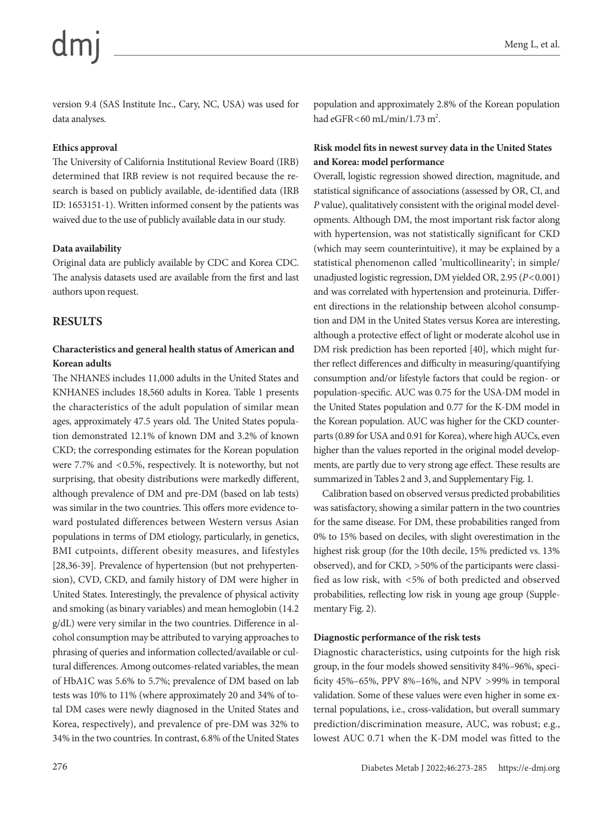version 9.4 (SAS Institute Inc., Cary, NC, USA) was used for data analyses.

## **Ethics approval**

The University of California Institutional Review Board (IRB) determined that IRB review is not required because the research is based on publicly available, de-identified data (IRB ID: 1653151-1). Written informed consent by the patients was waived due to the use of publicly available data in our study.

## **Data availability**

Original data are publicly available by CDC and Korea CDC. The analysis datasets used are available from the first and last authors upon request.

# **RESULTS**

# **Characteristics and general health status of American and Korean adults**

The NHANES includes 11,000 adults in the United States and KNHANES includes 18,560 adults in Korea. Table 1 presents the characteristics of the adult population of similar mean ages, approximately 47.5 years old. The United States population demonstrated 12.1% of known DM and 3.2% of known CKD; the corresponding estimates for the Korean population were 7.7% and <0.5%, respectively. It is noteworthy, but not surprising, that obesity distributions were markedly different, although prevalence of DM and pre-DM (based on lab tests) was similar in the two countries. This offers more evidence toward postulated differences between Western versus Asian populations in terms of DM etiology, particularly, in genetics, BMI cutpoints, different obesity measures, and lifestyles [28,36-39]. Prevalence of hypertension (but not prehypertension), CVD, CKD, and family history of DM were higher in United States. Interestingly, the prevalence of physical activity and smoking (as binary variables) and mean hemoglobin (14.2 g/dL) were very similar in the two countries. Difference in alcohol consumption may be attributed to varying approaches to phrasing of queries and information collected/available or cultural differences. Among outcomes-related variables, the mean of HbA1C was 5.6% to 5.7%; prevalence of DM based on lab tests was 10% to 11% (where approximately 20 and 34% of total DM cases were newly diagnosed in the United States and Korea, respectively), and prevalence of pre-DM was 32% to 34% in the two countries. In contrast, 6.8% of the United States population and approximately 2.8% of the Korean population had  $e$ GFR $<$ 60 mL/min/1.73 m<sup>2</sup>.

# **Risk model fits in newest survey data in the United States and Korea: model performance**

Overall, logistic regression showed direction, magnitude, and statistical significance of associations (assessed by OR, CI, and *P* value), qualitatively consistent with the original model developments. Although DM, the most important risk factor along with hypertension, was not statistically significant for CKD (which may seem counterintuitive), it may be explained by a statistical phenomenon called 'multicollinearity'; in simple/ unadjusted logistic regression, DM yielded OR, 2.95 (*P*<0.001) and was correlated with hypertension and proteinuria. Different directions in the relationship between alcohol consumption and DM in the United States versus Korea are interesting, although a protective effect of light or moderate alcohol use in DM risk prediction has been reported [40], which might further reflect differences and difficulty in measuring/quantifying consumption and/or lifestyle factors that could be region- or population-specific. AUC was 0.75 for the USA-DM model in the United States population and 0.77 for the K-DM model in the Korean population. AUC was higher for the CKD counterparts (0.89 for USA and 0.91 for Korea), where high AUCs, even higher than the values reported in the original model developments, are partly due to very strong age effect. These results are summarized in Tables 2 and 3, and Supplementary Fig. 1.

Calibration based on observed versus predicted probabilities was satisfactory, showing a similar pattern in the two countries for the same disease. For DM, these probabilities ranged from 0% to 15% based on deciles, with slight overestimation in the highest risk group (for the 10th decile, 15% predicted vs. 13% observed), and for CKD, >50% of the participants were classified as low risk, with <5% of both predicted and observed probabilities, reflecting low risk in young age group (Supplementary Fig. 2).

# **Diagnostic performance of the risk tests**

Diagnostic characteristics, using cutpoints for the high risk group, in the four models showed sensitivity 84%–96%, specificity 45%–65%, PPV 8%–16%, and NPV >99% in temporal validation. Some of these values were even higher in some external populations, i.e., cross-validation, but overall summary prediction/discrimination measure, AUC, was robust; e.g., lowest AUC 0.71 when the K-DM model was fitted to the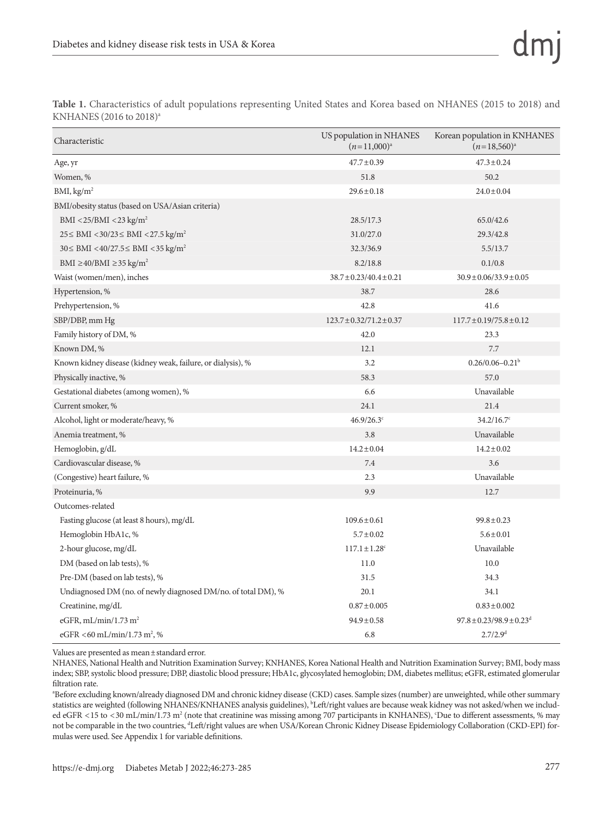| Table 1. Characteristics of adult populations representing United States and Korea based on NHANES (2015 to 2018) and |  |  |  |  |  |  |  |
|-----------------------------------------------------------------------------------------------------------------------|--|--|--|--|--|--|--|
| KNHANES (2016 to 2018) <sup>a</sup>                                                                                   |  |  |  |  |  |  |  |

| Characteristic                                                | US population in NHANES<br>$(n=11,000)^{a}$ | Korean population in KNHANES<br>$(n=18,560)^{a}$ |
|---------------------------------------------------------------|---------------------------------------------|--------------------------------------------------|
| Age, yr                                                       | $47.7 \pm 0.39$                             | $47.3 \pm 0.24$                                  |
| Women, %                                                      | 51.8                                        | 50.2                                             |
| BMI, kg/m <sup>2</sup>                                        | $29.6 \pm 0.18$                             | $24.0 \pm 0.04$                                  |
| BMI/obesity status (based on USA/Asian criteria)              |                                             |                                                  |
| BMI <25/BMI <23 kg/m <sup>2</sup>                             | 28.5/17.3                                   | 65.0/42.6                                        |
| $25 \leq BMI < 30/23 \leq BMI < 27.5 \text{ kg/m}^2$          | 31.0/27.0                                   | 29.3/42.8                                        |
| $30 \leq BMI < 40/27.5 \leq BMI < 35 kg/m^2$                  | 32.3/36.9                                   | 5.5/13.7                                         |
| BMI $\geq$ 40/BMI $\geq$ 35 kg/m <sup>2</sup>                 | 8.2/18.8                                    | 0.1/0.8                                          |
| Waist (women/men), inches                                     | $38.7 \pm 0.23/40.4 \pm 0.21$               | $30.9 \pm 0.06/33.9 \pm 0.05$                    |
| Hypertension, %                                               | 38.7                                        | 28.6                                             |
| Prehypertension, %                                            | 42.8                                        | 41.6                                             |
| SBP/DBP, mm Hg                                                | $123.7 \pm 0.32/71.2 \pm 0.37$              | $117.7 \pm 0.19/75.8 \pm 0.12$                   |
| Family history of DM, %                                       | 42.0                                        | 23.3                                             |
| Known DM, %                                                   | 12.1                                        | 7.7                                              |
| Known kidney disease (kidney weak, failure, or dialysis), %   | 3.2                                         | $0.26/0.06 - 0.21b$                              |
| Physically inactive, %                                        | 58.3                                        | 57.0                                             |
| Gestational diabetes (among women), %                         | 6.6                                         | Unavailable                                      |
| Current smoker, %                                             | 24.1                                        | 21.4                                             |
| Alcohol, light or moderate/heavy, %                           | 46.9/26.3°                                  | $34.2/16.7$ °                                    |
| Anemia treatment, %                                           | 3.8                                         | Unavailable                                      |
| Hemoglobin, g/dL                                              | $14.2 \pm 0.04$                             | $14.2 \pm 0.02$                                  |
| Cardiovascular disease, %                                     | 7.4                                         | 3.6                                              |
| (Congestive) heart failure, %                                 | 2.3                                         | Unavailable                                      |
| Proteinuria, %                                                | 9.9                                         | 12.7                                             |
| Outcomes-related                                              |                                             |                                                  |
| Fasting glucose (at least 8 hours), mg/dL                     | $109.6 \pm 0.61$                            | $99.8 \pm 0.23$                                  |
| Hemoglobin HbA1c, %                                           | $5.7 \pm 0.02$                              | $5.6 \pm 0.01$                                   |
| 2-hour glucose, mg/dL                                         | $117.1 \pm 1.28$ <sup>c</sup>               | Unavailable                                      |
| DM (based on lab tests), %                                    | 11.0                                        | 10.0                                             |
| Pre-DM (based on lab tests), %                                | 31.5                                        | 34.3                                             |
| Undiagnosed DM (no. of newly diagnosed DM/no. of total DM), % | 20.1                                        | 34.1                                             |
| Creatinine, mg/dL                                             | $0.87 \pm 0.005$                            | $0.83 \pm 0.002$                                 |
| eGFR, mL/min/1.73 m <sup>2</sup>                              | $94.9 \pm 0.58$                             | $97.8 \pm 0.23/98.9 \pm 0.23$ <sup>d</sup>       |
| eGFR <60 mL/min/1.73 m <sup>2</sup> , %                       | 6.8                                         | 2.7/2.9 <sup>d</sup>                             |

Values are presented as mean±standard error.

NHANES, National Health and Nutrition Examination Survey; KNHANES, Korea National Health and Nutrition Examination Survey; BMI, body mass index; SBP, systolic blood pressure; DBP, diastolic blood pressure; HbA1c, glycosylated hemoglobin; DM, diabetes mellitus; eGFR, estimated glomerular filtration rate.

a Before excluding known/already diagnosed DM and chronic kidney disease (CKD) cases. Sample sizes (number) are unweighted, while other summary statistics are weighted (following NHANES/KNHANES analysis guidelines), <sup>b</sup>Left/right values are because weak kidney was not asked/when we included eGFR <15 to <30 mL/min/1.73 m<sup>2</sup> (note that creatinine was missing among 707 participants in KNHANES), 'Due to different assessments, % may not be comparable in the two countries, <sup>d</sup>Left/right values are when USA/Korean Chronic Kidney Disease Epidemiology Collaboration (CKD-EPI) formulas were used. See Appendix 1 for variable definitions.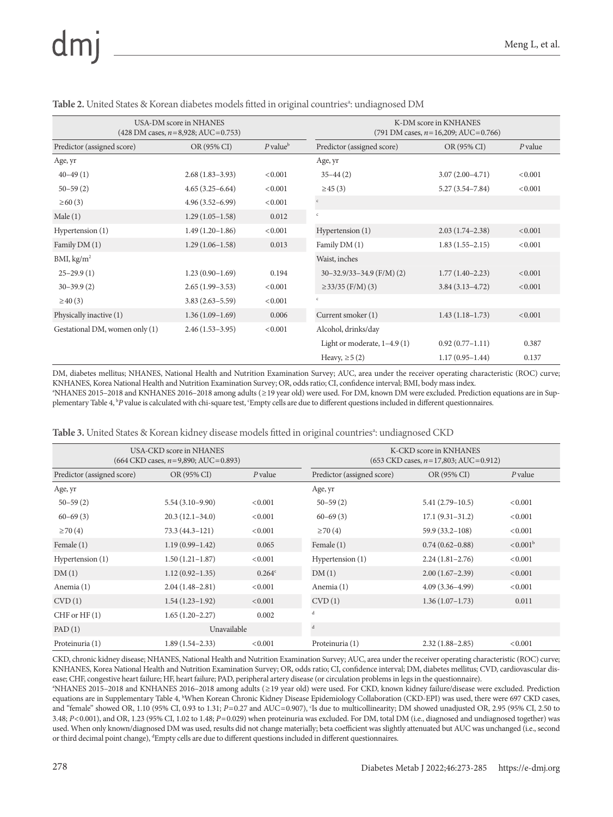# $dm$

|                                | USA-DM score in NHANES                                |                        | K-DM score in KNHANES                                |                     |           |  |  |  |  |  |
|--------------------------------|-------------------------------------------------------|------------------------|------------------------------------------------------|---------------------|-----------|--|--|--|--|--|
|                                | $(428 \text{ DM cases}, n=8,928; \text{AUC} = 0.753)$ |                        | $(791 \text{ DM cases}, n=16,209; \text{AUC}=0.766)$ |                     |           |  |  |  |  |  |
| Predictor (assigned score)     | OR (95% CI)                                           | $P$ value <sup>b</sup> | Predictor (assigned score)                           | OR (95% CI)         | $P$ value |  |  |  |  |  |
| Age, yr                        |                                                       |                        | Age, yr                                              |                     |           |  |  |  |  |  |
| $40 - 49(1)$                   | $2.68(1.83-3.93)$                                     | < 0.001                | $35 - 44(2)$                                         | $3.07(2.00-4.71)$   | < 0.001   |  |  |  |  |  |
| $50 - 59(2)$                   | $4.65(3.25-6.64)$                                     | < 0.001                | $\geq$ 45 (3)                                        | $5.27(3.54 - 7.84)$ | < 0.001   |  |  |  |  |  |
| $\geq 60(3)$                   | $4.96(3.52 - 6.99)$                                   | < 0.001                | $\mathbf c$                                          |                     |           |  |  |  |  |  |
| Male(1)                        | $1.29(1.05-1.58)$                                     | 0.012                  | $\mathsf{c}$                                         |                     |           |  |  |  |  |  |
| Hypertension (1)               | $1.49(1.20-1.86)$                                     | < 0.001                | Hypertension (1)                                     | $2.03(1.74-2.38)$   | < 0.001   |  |  |  |  |  |
| Family DM (1)                  | $1.29(1.06-1.58)$                                     | 0.013                  | Family DM (1)                                        | $1.83(1.55-2.15)$   | < 0.001   |  |  |  |  |  |
| BMI, kg/m <sup>2</sup>         |                                                       |                        | Waist, inches                                        |                     |           |  |  |  |  |  |
| $25 - 29.9(1)$                 | $1.23(0.90-1.69)$                                     | 0.194                  | $30-32.9/33-34.9$ (F/M) (2)                          | $1.77(1.40-2.23)$   | < 0.001   |  |  |  |  |  |
| $30 - 39.9(2)$                 | $2.65(1.99-3.53)$                                     | < 0.001                | $\geq$ 33/35 (F/M) (3)                               | $3.84(3.13 - 4.72)$ | < 0.001   |  |  |  |  |  |
| $\geq 40(3)$                   | $3.83(2.63 - 5.59)$                                   | < 0.001                | $\mathsf{C}$                                         |                     |           |  |  |  |  |  |
| Physically inactive (1)        | $1.36(1.09-1.69)$                                     | 0.006                  | Current smoker (1)                                   | $1.43(1.18-1.73)$   | < 0.001   |  |  |  |  |  |
| Gestational DM, women only (1) | $2.46(1.53-3.95)$                                     | < 0.001                | Alcohol, drinks/day                                  |                     |           |  |  |  |  |  |
|                                |                                                       |                        | Light or moderate, $1-4.9(1)$                        | $0.92(0.77 - 1.11)$ | 0.387     |  |  |  |  |  |
|                                |                                                       |                        | Heavy, $\geq 5(2)$                                   | $1.17(0.95 - 1.44)$ | 0.137     |  |  |  |  |  |

Table 2. United States & Korean diabetes models fitted in original countries<sup>a</sup>: undiagnosed DM

DM, diabetes mellitus; NHANES, National Health and Nutrition Examination Survey; AUC, area under the receiver operating characteristic (ROC) curve; KNHANES, Korea National Health and Nutrition Examination Survey; OR, odds ratio; CI, confidence interval; BMI, body mass index. a NHANES 2015–2018 and KNHANES 2016–2018 among adults (≥19 year old) were used. For DM, known DM were excluded. Prediction equations are in Supplementary Table 4, <sup>b</sup>P value is calculated with chi-square test, 'Empty cells are due to different questions included in different questionnaires.

|                            | USA-CKD score in NHANES<br>$(664$ CKD cases, $n=9,890$ ; AUC=0.893) |                 |                            | K-CKD score in KNHANES<br>$(653 \text{ CKD cases}, n=17,803; \text{AUC}=0.912)$ |                   |  |  |  |  |
|----------------------------|---------------------------------------------------------------------|-----------------|----------------------------|---------------------------------------------------------------------------------|-------------------|--|--|--|--|
| Predictor (assigned score) | OR (95% CI)<br>$P$ value                                            |                 | Predictor (assigned score) | OR (95% CI)                                                                     | $P$ value         |  |  |  |  |
| Age, yr                    |                                                                     |                 | Age, yr                    |                                                                                 |                   |  |  |  |  |
| $50 - 59(2)$               | $5.54(3.10-9.90)$                                                   | < 0.001         | $50 - 59(2)$               | $5.41(2.79-10.5)$                                                               | < 0.001           |  |  |  |  |
| $60 - 69(3)$               | $20.3(12.1-34.0)$                                                   | < 0.001         | $60 - 69(3)$               | $17.1(9.31-31.2)$                                                               | < 0.001           |  |  |  |  |
| $\geq$ 70 (4)              | $73.3(44.3 - 121)$                                                  | < 0.001         | $\geq$ 70 (4)              | $59.9(33.2 - 108)$                                                              | < 0.001           |  |  |  |  |
| Female (1)                 | $1.19(0.99 - 1.42)$                                                 | 0.065           | Female $(1)$               | $0.74(0.62 - 0.88)$                                                             | $< 0.001^{\rm b}$ |  |  |  |  |
| Hypertension (1)           | $1.50(1.21-1.87)$                                                   | < 0.001         | Hypertension (1)           | $2.24(1.81-2.76)$                                                               | < 0.001           |  |  |  |  |
| DM(1)                      | $1.12(0.92 - 1.35)$                                                 | $0.264^{\circ}$ | DM(1)                      | $2.00(1.67-2.39)$                                                               | < 0.001           |  |  |  |  |
| Anemia (1)                 | $2.04(1.48-2.81)$                                                   | < 0.001         | Anemia (1)                 | $4.09(3.36 - 4.99)$                                                             | < 0.001           |  |  |  |  |
| CVD(1)                     | $1.54(1.23-1.92)$                                                   | < 0.001         | CVD(1)                     | $1.36(1.07-1.73)$                                                               | 0.011             |  |  |  |  |
| $CHF$ or $HF(1)$           | $1.65(1.20-2.27)$                                                   | 0.002           | d                          |                                                                                 |                   |  |  |  |  |
| PAD(1)                     | Unavailable                                                         |                 | $\mathbf{d}$               |                                                                                 |                   |  |  |  |  |
| Proteinuria (1)            | $1.89(1.54 - 2.33)$                                                 | < 0.001         | Proteinuria (1)            | $2.32(1.88 - 2.85)$                                                             | < 0.001           |  |  |  |  |

CKD, chronic kidney disease; NHANES, National Health and Nutrition Examination Survey; AUC, area under the receiver operating characteristic (ROC) curve; KNHANES, Korea National Health and Nutrition Examination Survey; OR, odds ratio; CI, confidence interval; DM, diabetes mellitus; CVD, cardiovascular disease; CHF, congestive heart failure; HF, heart failure; PAD, peripheral artery disease (or circulation problems in legs in the questionnaire).

a NHANES 2015–2018 and KNHANES 2016–2018 among adults (≥19 year old) were used. For CKD, known kidney failure/disease were excluded. Prediction equations are in Supplementary Table 4, <sup>b</sup>When Korean Chronic Kidney Disease Epidemiology Collaboration (CKD-EPI) was used, there were 697 CKD cases, and "female" showed OR, 1.10 (95% CI, 0.93 to 1.31; *P*=0.27 and AUC=0.907), 'Is due to multicollinearity; DM showed unadjusted OR, 2.95 (95% CI, 2.50 to 3.48; *P*<0.001), and OR, 1.23 (95% CI, 1.02 to 1.48; *P*=0.029) when proteinuria was excluded. For DM, total DM (i.e., diagnosed and undiagnosed together) was used. When only known/diagnosed DM was used, results did not change materially; beta coefficient was slightly attenuated but AUC was unchanged (i.e., second or third decimal point change), <sup>d</sup>Empty cells are due to different questions included in different questionnaires.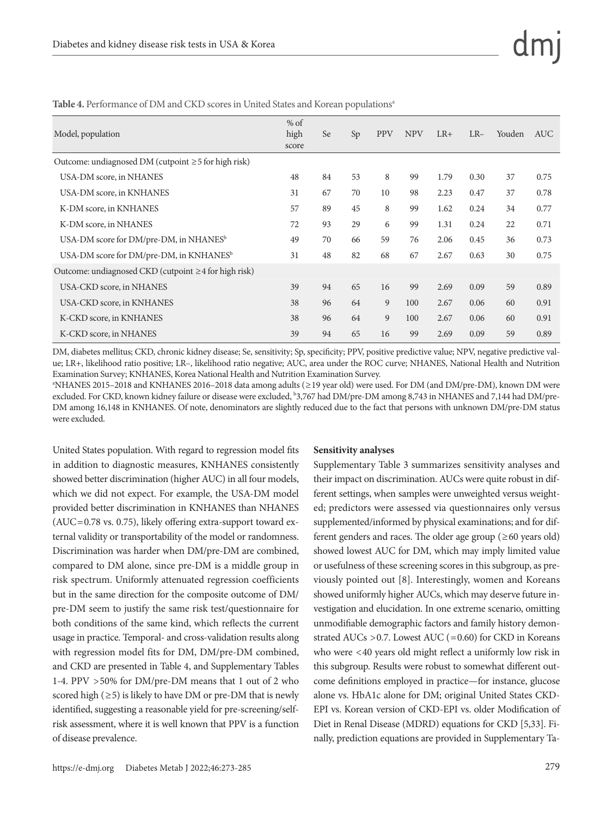| Model, population                                          | $%$ of<br>high<br>score | <b>Se</b> | Sp | <b>PPV</b> | <b>NPV</b> | $LR+$ | $LR-$ | Youden | AUC  |
|------------------------------------------------------------|-------------------------|-----------|----|------------|------------|-------|-------|--------|------|
| Outcome: undiagnosed DM (cutpoint $\geq$ 5 for high risk)  |                         |           |    |            |            |       |       |        |      |
| USA-DM score, in NHANES                                    | 48                      | 84        | 53 | 8          | 99         | 1.79  | 0.30  | 37     | 0.75 |
| USA-DM score, in KNHANES                                   | 31                      | 67        | 70 | 10         | 98         | 2.23  | 0.47  | 37     | 0.78 |
| K-DM score, in KNHANES                                     | 57                      | 89        | 45 | 8          | 99         | 1.62  | 0.24  | 34     | 0.77 |
| K-DM score, in NHANES                                      | 72                      | 93        | 29 | 6          | 99         | 1.31  | 0.24  | 22     | 0.71 |
| USA-DM score for DM/pre-DM, in NHANES <sup>b</sup>         | 49                      | 70        | 66 | 59         | 76         | 2.06  | 0.45  | 36     | 0.73 |
| USA-DM score for DM/pre-DM, in KNHANES <sup>b</sup>        | 31                      | 48        | 82 | 68         | 67         | 2.67  | 0.63  | 30     | 0.75 |
| Outcome: undiagnosed CKD (cutpoint $\geq$ 4 for high risk) |                         |           |    |            |            |       |       |        |      |
| USA-CKD score, in NHANES                                   | 39                      | 94        | 65 | 16         | 99         | 2.69  | 0.09  | 59     | 0.89 |
| USA-CKD score, in KNHANES                                  | 38                      | 96        | 64 | 9          | 100        | 2.67  | 0.06  | 60     | 0.91 |
| K-CKD score, in KNHANES                                    | 38                      | 96        | 64 | 9          | 100        | 2.67  | 0.06  | 60     | 0.91 |
| K-CKD score, in NHANES                                     | 39                      | 94        | 65 | 16         | 99         | 2.69  | 0.09  | 59     | 0.89 |
|                                                            |                         |           |    |            |            |       |       |        |      |

Table 4. Performance of DM and CKD scores in United States and Korean populations<sup>a</sup>

DM, diabetes mellitus; CKD, chronic kidney disease; Se, sensitivity; Sp, specificity; PPV, positive predictive value; NPV, negative predictive value; LR+, likelihood ratio positive; LR–, likelihood ratio negative; AUC, area under the ROC curve; NHANES, National Health and Nutrition Examination Survey; KNHANES, Korea National Health and Nutrition Examination Survey.

a NHANES 2015–2018 and KNHANES 2016–2018 data among adults (≥19 year old) were used. For DM (and DM/pre-DM), known DM were excluded. For CKD, known kidney failure or disease were excluded, <sup>b</sup>3,767 had DM/pre-DM among 8,743 in NHANES and 7,144 had DM/pre-DM among 16,148 in KNHANES. Of note, denominators are slightly reduced due to the fact that persons with unknown DM/pre-DM status were excluded.

United States population. With regard to regression model fits in addition to diagnostic measures, KNHANES consistently showed better discrimination (higher AUC) in all four models, which we did not expect. For example, the USA-DM model provided better discrimination in KNHANES than NHANES (AUC=0.78 vs. 0.75), likely offering extra-support toward external validity or transportability of the model or randomness. Discrimination was harder when DM/pre-DM are combined, compared to DM alone, since pre-DM is a middle group in risk spectrum. Uniformly attenuated regression coefficients but in the same direction for the composite outcome of DM/ pre-DM seem to justify the same risk test/questionnaire for both conditions of the same kind, which reflects the current usage in practice. Temporal- and cross-validation results along with regression model fits for DM, DM/pre-DM combined, and CKD are presented in Table 4, and Supplementary Tables 1-4. PPV >50% for DM/pre-DM means that 1 out of 2 who scored high  $(\geq 5)$  is likely to have DM or pre-DM that is newly identified, suggesting a reasonable yield for pre-screening/selfrisk assessment, where it is well known that PPV is a function of disease prevalence.

### **Sensitivity analyses**

Supplementary Table 3 summarizes sensitivity analyses and their impact on discrimination. AUCs were quite robust in different settings, when samples were unweighted versus weighted; predictors were assessed via questionnaires only versus supplemented/informed by physical examinations; and for different genders and races. The older age group (≥60 years old) showed lowest AUC for DM, which may imply limited value or usefulness of these screening scores in this subgroup, as previously pointed out [8]. Interestingly, women and Koreans showed uniformly higher AUCs, which may deserve future investigation and elucidation. In one extreme scenario, omitting unmodifiable demographic factors and family history demonstrated AUCs  $>0.7$ . Lowest AUC (=0.60) for CKD in Koreans who were <40 years old might reflect a uniformly low risk in this subgroup. Results were robust to somewhat different outcome definitions employed in practice—for instance, glucose alone vs. HbA1c alone for DM; original United States CKD-EPI vs. Korean version of CKD-EPI vs. older Modification of Diet in Renal Disease (MDRD) equations for CKD [5,33]. Finally, prediction equations are provided in Supplementary Ta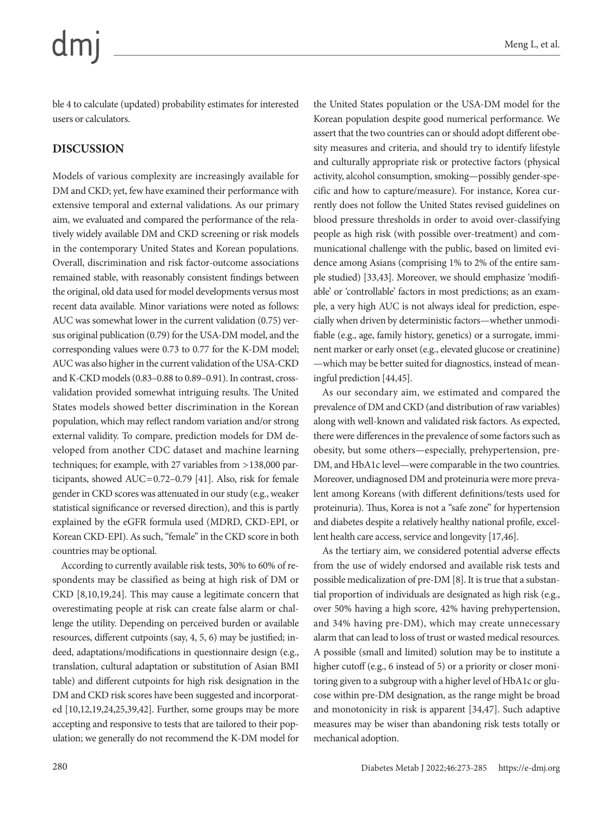ble 4 to calculate (updated) probability estimates for interested users or calculators.

# **DISCUSSION**

Models of various complexity are increasingly available for DM and CKD; yet, few have examined their performance with extensive temporal and external validations. As our primary aim, we evaluated and compared the performance of the relatively widely available DM and CKD screening or risk models in the contemporary United States and Korean populations. Overall, discrimination and risk factor-outcome associations remained stable, with reasonably consistent findings between the original, old data used for model developments versus most recent data available. Minor variations were noted as follows: AUC was somewhat lower in the current validation (0.75) versus original publication (0.79) for the USA-DM model, and the corresponding values were 0.73 to 0.77 for the K-DM model; AUC was also higher in the current validation of the USA-CKD and K-CKD models (0.83–0.88 to 0.89–0.91). In contrast, crossvalidation provided somewhat intriguing results. The United States models showed better discrimination in the Korean population, which may reflect random variation and/or strong external validity. To compare, prediction models for DM developed from another CDC dataset and machine learning techniques; for example, with 27 variables from >138,000 participants, showed AUC=0.72–0.79 [41]. Also, risk for female gender in CKD scores was attenuated in our study (e.g., weaker statistical significance or reversed direction), and this is partly explained by the eGFR formula used (MDRD, CKD-EPI, or Korean CKD-EPI). As such, "female" in the CKD score in both countries may be optional.

According to currently available risk tests, 30% to 60% of respondents may be classified as being at high risk of DM or CKD [8,10,19,24]. This may cause a legitimate concern that overestimating people at risk can create false alarm or challenge the utility. Depending on perceived burden or available resources, different cutpoints (say, 4, 5, 6) may be justified; indeed, adaptations/modifications in questionnaire design (e.g., translation, cultural adaptation or substitution of Asian BMI table) and different cutpoints for high risk designation in the DM and CKD risk scores have been suggested and incorporated [10,12,19,24,25,39,42]. Further, some groups may be more accepting and responsive to tests that are tailored to their population; we generally do not recommend the K-DM model for

the United States population or the USA-DM model for the Korean population despite good numerical performance. We assert that the two countries can or should adopt different obesity measures and criteria, and should try to identify lifestyle and culturally appropriate risk or protective factors (physical activity, alcohol consumption, smoking—possibly gender-specific and how to capture/measure). For instance, Korea currently does not follow the United States revised guidelines on blood pressure thresholds in order to avoid over-classifying people as high risk (with possible over-treatment) and communicational challenge with the public, based on limited evidence among Asians (comprising 1% to 2% of the entire sample studied) [33,43]. Moreover, we should emphasize 'modifiable' or 'controllable' factors in most predictions; as an example, a very high AUC is not always ideal for prediction, especially when driven by deterministic factors—whether unmodifiable (e.g., age, family history, genetics) or a surrogate, imminent marker or early onset (e.g., elevated glucose or creatinine) —which may be better suited for diagnostics, instead of meaningful prediction [44,45].

As our secondary aim, we estimated and compared the prevalence of DM and CKD (and distribution of raw variables) along with well-known and validated risk factors. As expected, there were differences in the prevalence of some factors such as obesity, but some others—especially, prehypertension, pre-DM, and HbA1c level—were comparable in the two countries. Moreover, undiagnosed DM and proteinuria were more prevalent among Koreans (with different definitions/tests used for proteinuria). Thus, Korea is not a "safe zone" for hypertension and diabetes despite a relatively healthy national profile, excellent health care access, service and longevity [17,46].

As the tertiary aim, we considered potential adverse effects from the use of widely endorsed and available risk tests and possible medicalization of pre-DM [8]. It is true that a substantial proportion of individuals are designated as high risk (e.g., over 50% having a high score, 42% having prehypertension, and 34% having pre-DM), which may create unnecessary alarm that can lead to loss of trust or wasted medical resources. A possible (small and limited) solution may be to institute a higher cutoff (e.g., 6 instead of 5) or a priority or closer monitoring given to a subgroup with a higher level of HbA1c or glucose within pre-DM designation, as the range might be broad and monotonicity in risk is apparent [34,47]. Such adaptive measures may be wiser than abandoning risk tests totally or mechanical adoption.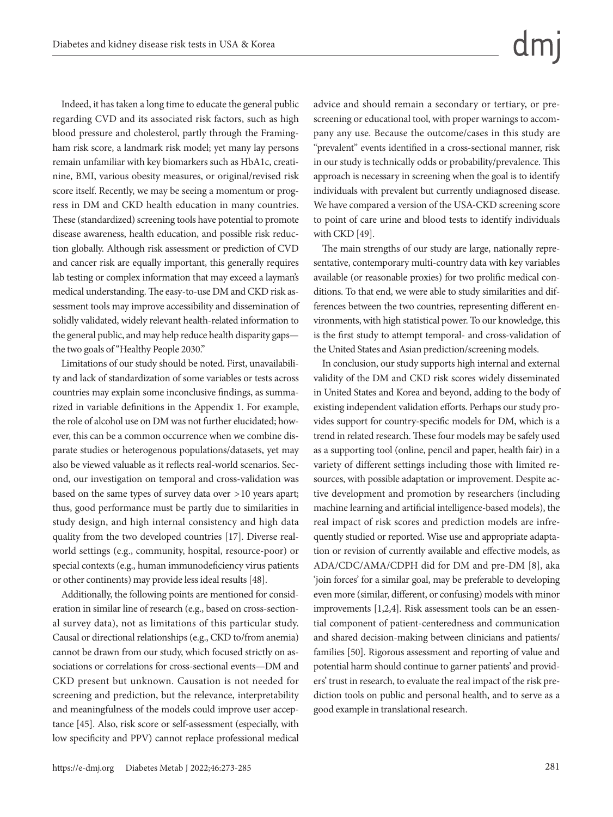Indeed, it has taken a long time to educate the general public regarding CVD and its associated risk factors, such as high blood pressure and cholesterol, partly through the Framingham risk score, a landmark risk model; yet many lay persons remain unfamiliar with key biomarkers such as HbA1c, creatinine, BMI, various obesity measures, or original/revised risk score itself. Recently, we may be seeing a momentum or progress in DM and CKD health education in many countries. These (standardized) screening tools have potential to promote disease awareness, health education, and possible risk reduction globally. Although risk assessment or prediction of CVD and cancer risk are equally important, this generally requires lab testing or complex information that may exceed a layman's medical understanding. The easy-to-use DM and CKD risk assessment tools may improve accessibility and dissemination of solidly validated, widely relevant health-related information to the general public, and may help reduce health disparity gaps the two goals of "Healthy People 2030."

Limitations of our study should be noted. First, unavailability and lack of standardization of some variables or tests across countries may explain some inconclusive findings, as summarized in variable definitions in the Appendix 1. For example, the role of alcohol use on DM was not further elucidated; however, this can be a common occurrence when we combine disparate studies or heterogenous populations/datasets, yet may also be viewed valuable as it reflects real-world scenarios. Second, our investigation on temporal and cross-validation was based on the same types of survey data over >10 years apart; thus, good performance must be partly due to similarities in study design, and high internal consistency and high data quality from the two developed countries [17]. Diverse realworld settings (e.g., community, hospital, resource-poor) or special contexts (e.g., human immunodeficiency virus patients or other continents) may provide less ideal results [48].

Additionally, the following points are mentioned for consideration in similar line of research (e.g., based on cross-sectional survey data), not as limitations of this particular study. Causal or directional relationships (e.g., CKD to/from anemia) cannot be drawn from our study, which focused strictly on associations or correlations for cross-sectional events—DM and CKD present but unknown. Causation is not needed for screening and prediction, but the relevance, interpretability and meaningfulness of the models could improve user acceptance [45]. Also, risk score or self-assessment (especially, with low specificity and PPV) cannot replace professional medical advice and should remain a secondary or tertiary, or prescreening or educational tool, with proper warnings to accompany any use. Because the outcome/cases in this study are "prevalent" events identified in a cross-sectional manner, risk in our study is technically odds or probability/prevalence. This approach is necessary in screening when the goal is to identify individuals with prevalent but currently undiagnosed disease. We have compared a version of the USA-CKD screening score to point of care urine and blood tests to identify individuals with CKD [49].

The main strengths of our study are large, nationally representative, contemporary multi-country data with key variables available (or reasonable proxies) for two prolific medical conditions. To that end, we were able to study similarities and differences between the two countries, representing different environments, with high statistical power. To our knowledge, this is the first study to attempt temporal- and cross-validation of the United States and Asian prediction/screening models.

In conclusion, our study supports high internal and external validity of the DM and CKD risk scores widely disseminated in United States and Korea and beyond, adding to the body of existing independent validation efforts. Perhaps our study provides support for country-specific models for DM, which is a trend in related research. These four models may be safely used as a supporting tool (online, pencil and paper, health fair) in a variety of different settings including those with limited resources, with possible adaptation or improvement. Despite active development and promotion by researchers (including machine learning and artificial intelligence-based models), the real impact of risk scores and prediction models are infrequently studied or reported. Wise use and appropriate adaptation or revision of currently available and effective models, as ADA/CDC/AMA/CDPH did for DM and pre-DM [8], aka 'join forces' for a similar goal, may be preferable to developing even more (similar, different, or confusing) models with minor improvements [1,2,4]. Risk assessment tools can be an essential component of patient-centeredness and communication and shared decision-making between clinicians and patients/ families [50]. Rigorous assessment and reporting of value and potential harm should continue to garner patients' and providers' trust in research, to evaluate the real impact of the risk prediction tools on public and personal health, and to serve as a good example in translational research.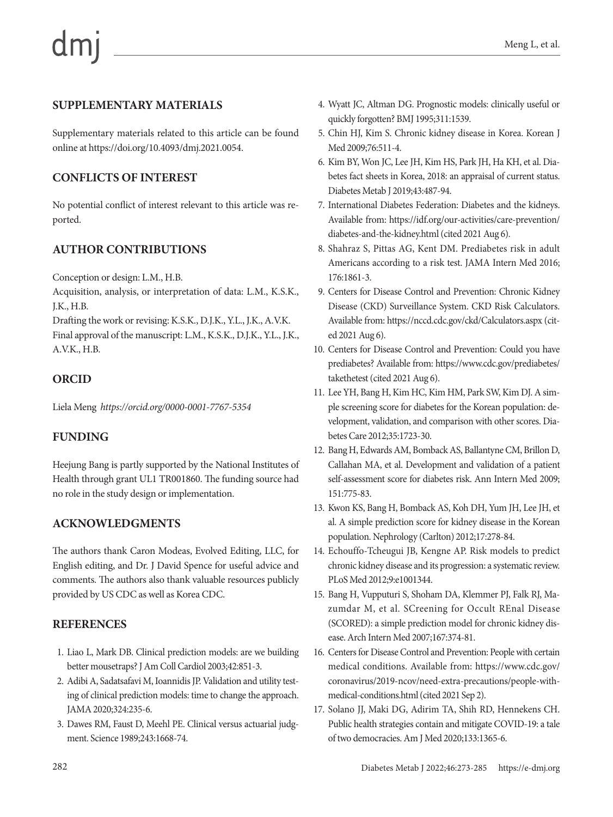# **SUPPLEMENTARY MATERIALS**

Supplementary materials related to this article can be found online at https://doi.org/10.4093/dmj.2021.0054.

# **CONFLICTS OF INTEREST**

No potential conflict of interest relevant to this article was reported.

# **AUTHOR CONTRIBUTIONS**

Conception or design: L.M., H.B.

Acquisition, analysis, or interpretation of data: L.M., K.S.K., J.K., H.B.

Drafting the work or revising: K.S.K., D.J.K., Y.L., J.K., A.V.K. Final approval of the manuscript: L.M., K.S.K., D.J.K., Y.L., J.K., A.V.K., H.B.

# **ORCID**

Liela Meng *https://orcid.org/0000-0001-7767-5354*

# **FUNDING**

Heejung Bang is partly supported by the National Institutes of Health through grant UL1 TR001860. The funding source had no role in the study design or implementation.

# **ACKNOWLEDGMENTS**

The authors thank Caron Modeas, Evolved Editing, LLC, for English editing, and Dr. J David Spence for useful advice and comments. The authors also thank valuable resources publicly provided by US CDC as well as Korea CDC.

# **REFERENCES**

- 1. Liao L, Mark DB. Clinical prediction models: are we building better mousetraps? J Am Coll Cardiol 2003;42:851-3.
- 2. Adibi A, Sadatsafavi M, Ioannidis JP. Validation and utility testing of clinical prediction models: time to change the approach. JAMA 2020;324:235-6.
- 3. Dawes RM, Faust D, Meehl PE. Clinical versus actuarial judgment. Science 1989;243:1668-74.
- 4. Wyatt JC, Altman DG. Prognostic models: clinically useful or quickly forgotten? BMJ 1995;311:1539.
- 5. Chin HJ, Kim S. Chronic kidney disease in Korea. Korean J Med 2009;76:511-4.
- 6. Kim BY, Won JC, Lee JH, Kim HS, Park JH, Ha KH, et al. Diabetes fact sheets in Korea, 2018: an appraisal of current status. Diabetes Metab J 2019;43:487-94.
- 7. International Diabetes Federation: Diabetes and the kidneys. Available from: https://idf.org/our-activities/care-prevention/ diabetes-and-the-kidney.html (cited 2021 Aug 6).
- 8. Shahraz S, Pittas AG, Kent DM. Prediabetes risk in adult Americans according to a risk test. JAMA Intern Med 2016; 176:1861-3.
- 9. Centers for Disease Control and Prevention: Chronic Kidney Disease (CKD) Surveillance System. CKD Risk Calculators. Available from: https://nccd.cdc.gov/ckd/Calculators.aspx (cited 2021 Aug 6).
- 10. Centers for Disease Control and Prevention: Could you have prediabetes? Available from: https://www.cdc.gov/prediabetes/ takethetest (cited 2021 Aug 6).
- 11. Lee YH, Bang H, Kim HC, Kim HM, Park SW, Kim DJ. A simple screening score for diabetes for the Korean population: development, validation, and comparison with other scores. Diabetes Care 2012;35:1723-30.
- 12. Bang H, Edwards AM, Bomback AS, Ballantyne CM, Brillon D, Callahan MA, et al. Development and validation of a patient self-assessment score for diabetes risk. Ann Intern Med 2009; 151:775-83.
- 13. Kwon KS, Bang H, Bomback AS, Koh DH, Yum JH, Lee JH, et al. A simple prediction score for kidney disease in the Korean population. Nephrology (Carlton) 2012;17:278-84.
- 14. Echouffo-Tcheugui JB, Kengne AP. Risk models to predict chronic kidney disease and its progression: a systematic review. PLoS Med 2012;9:e1001344.
- 15. Bang H, Vupputuri S, Shoham DA, Klemmer PJ, Falk RJ, Mazumdar M, et al. SCreening for Occult REnal Disease (SCORED): a simple prediction model for chronic kidney disease. Arch Intern Med 2007;167:374-81.
- 16. Centers for Disease Control and Prevention: People with certain medical conditions. Available from: [https://www.cdc.gov/](https://www.cdc.gov/coronavirus/2019-ncov/need-extra-precautions/people-with-medical-conditions.html) [coronavirus/2019-ncov/need-extra-precautions/people-with](https://www.cdc.gov/coronavirus/2019-ncov/need-extra-precautions/people-with-medical-conditions.html)[medical-conditions.html](https://www.cdc.gov/coronavirus/2019-ncov/need-extra-precautions/people-with-medical-conditions.html) (cited 2021 Sep 2).
- 17. Solano JJ, Maki DG, Adirim TA, Shih RD, Hennekens CH. Public health strategies contain and mitigate COVID-19: a tale of two democracies. Am J Med 2020;133:1365-6.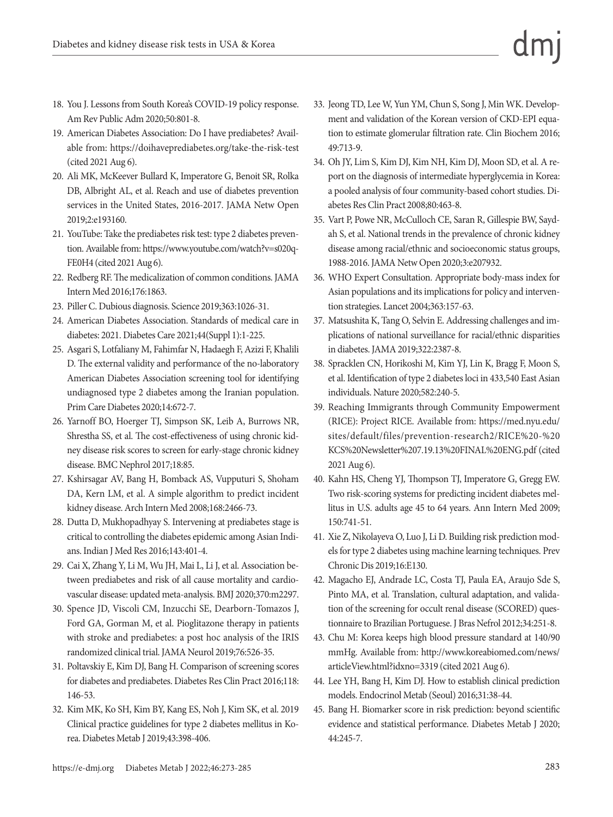- 18. You J. Lessons from South Korea's COVID-19 policy response. Am Rev Public Adm 2020;50:801-8.
- 19. American Diabetes Association: Do I have prediabetes? Available from: https://doihaveprediabetes.org/take-the-risk-test (cited 2021 Aug 6).
- 20. Ali MK, McKeever Bullard K, Imperatore G, Benoit SR, Rolka DB, Albright AL, et al. Reach and use of diabetes prevention services in the United States, 2016-2017. JAMA Netw Open 2019;2:e193160.
- 21. YouTube: Take the prediabetes risk test: type 2 diabetes prevention. Available from: [https://www.youtube.com/watch?v=s020q-](https://www.youtube.com/watch?v=s020q-FE0H4)[FE0H4](https://www.youtube.com/watch?v=s020q-FE0H4) (cited 2021 Aug 6).
- 22. Redberg RF. The medicalization of common conditions. JAMA Intern Med 2016;176:1863.
- 23. Piller C. Dubious diagnosis. Science 2019;363:1026-31.
- 24. American Diabetes Association. Standards of medical care in diabetes: 2021. Diabetes Care 2021;44(Suppl 1):1-225.
- 25. Asgari S, Lotfaliany M, Fahimfar N, Hadaegh F, Azizi F, Khalili D. The external validity and performance of the no-laboratory American Diabetes Association screening tool for identifying undiagnosed type 2 diabetes among the Iranian population. Prim Care Diabetes 2020;14:672-7.
- 26. Yarnoff BO, Hoerger TJ, Simpson SK, Leib A, Burrows NR, Shrestha SS, et al. The cost-effectiveness of using chronic kidney disease risk scores to screen for early-stage chronic kidney disease. BMC Nephrol 2017;18:85.
- 27. Kshirsagar AV, Bang H, Bomback AS, Vupputuri S, Shoham DA, Kern LM, et al. A simple algorithm to predict incident kidney disease. Arch Intern Med 2008;168:2466-73.
- 28. Dutta D, Mukhopadhyay S. Intervening at prediabetes stage is critical to controlling the diabetes epidemic among Asian Indians. Indian J Med Res 2016;143:401-4.
- 29. Cai X, Zhang Y, Li M, Wu JH, Mai L, Li J, et al. Association between prediabetes and risk of all cause mortality and cardiovascular disease: updated meta-analysis. BMJ 2020;370:m2297.
- 30. Spence JD, Viscoli CM, Inzucchi SE, Dearborn-Tomazos J, Ford GA, Gorman M, et al. Pioglitazone therapy in patients with stroke and prediabetes: a post hoc analysis of the IRIS randomized clinical trial. JAMA Neurol 2019;76:526-35.
- 31. Poltavskiy E, Kim DJ, Bang H. Comparison of screening scores for diabetes and prediabetes. Diabetes Res Clin Pract 2016;118: 146-53.
- 32. Kim MK, Ko SH, Kim BY, Kang ES, Noh J, Kim SK, et al. 2019 Clinical practice guidelines for type 2 diabetes mellitus in Korea. Diabetes Metab J 2019;43:398-406.
- 33. Jeong TD, Lee W, Yun YM, Chun S, Song J, Min WK. Development and validation of the Korean version of CKD-EPI equation to estimate glomerular filtration rate. Clin Biochem 2016; 49:713-9.
- 34. Oh JY, Lim S, Kim DJ, Kim NH, Kim DJ, Moon SD, et al. A report on the diagnosis of intermediate hyperglycemia in Korea: a pooled analysis of four community-based cohort studies. Diabetes Res Clin Pract 2008;80:463-8.
- 35. Vart P, Powe NR, McCulloch CE, Saran R, Gillespie BW, Saydah S, et al. National trends in the prevalence of chronic kidney disease among racial/ethnic and socioeconomic status groups, 1988-2016. JAMA Netw Open 2020;3:e207932.
- 36. WHO Expert Consultation. Appropriate body-mass index for Asian populations and its implications for policy and intervention strategies. Lancet 2004;363:157-63.
- 37. Matsushita K, Tang O, Selvin E. Addressing challenges and implications of national surveillance for racial/ethnic disparities in diabetes. JAMA 2019;322:2387-8.
- 38. Spracklen CN, Horikoshi M, Kim YJ, Lin K, Bragg F, Moon S, et al. Identification of type 2 diabetes loci in 433,540 East Asian individuals. Nature 2020;582:240-5.
- 39. Reaching Immigrants through Community Empowerment (RICE): Project RICE. Available from: https://med.nyu.edu/ sites/default/files/prevention-research2/RICE%20-%20 KCS%20Newsletter%207.19.13%20FINAL%20ENG.pdf (cited 2021 Aug 6).
- 40. Kahn HS, Cheng YJ, Thompson TJ, Imperatore G, Gregg EW. Two risk-scoring systems for predicting incident diabetes mellitus in U.S. adults age 45 to 64 years. Ann Intern Med 2009; 150:741-51.
- 41. Xie Z, Nikolayeva O, Luo J, Li D. Building risk prediction models for type 2 diabetes using machine learning techniques. Prev Chronic Dis 2019;16:E130.
- 42. Magacho EJ, Andrade LC, Costa TJ, Paula EA, Araujo Sde S, Pinto MA, et al. Translation, cultural adaptation, and validation of the screening for occult renal disease (SCORED) questionnaire to Brazilian Portuguese. J Bras Nefrol 2012;34:251-8.
- 43. Chu M: Korea keeps high blood pressure standard at 140/90 mmHg. Available from: http://www.koreabiomed.com/news/ articleView.html?idxno=3319 (cited 2021 Aug 6).
- 44. Lee YH, Bang H, Kim DJ. How to establish clinical prediction models. Endocrinol Metab (Seoul) 2016;31:38-44.
- 45. Bang H. Biomarker score in risk prediction: beyond scientific evidence and statistical performance. Diabetes Metab J 2020; 44:245-7.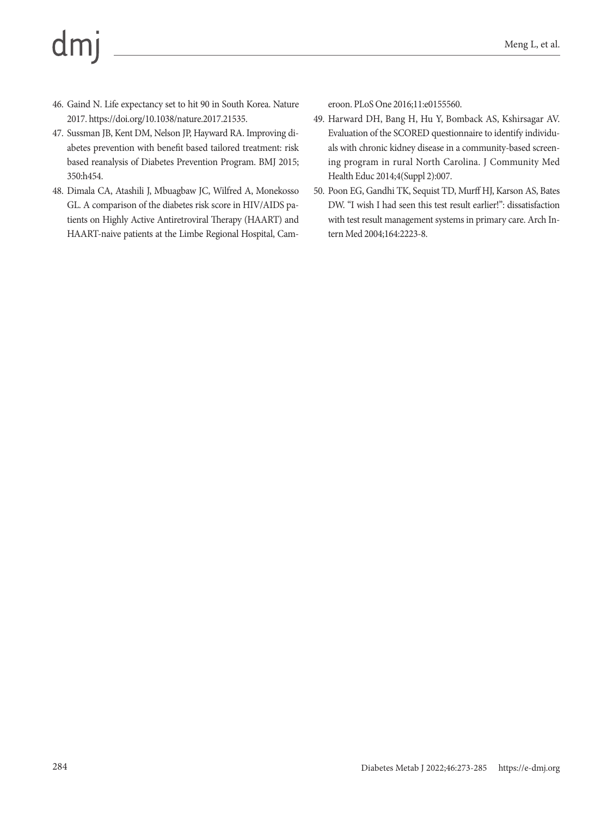# $dm$

- 46. Gaind N. Life expectancy set to hit 90 in South Korea. Nature 2017. https://doi.org/10.1038/nature.2017.21535.
- 47. Sussman JB, Kent DM, Nelson JP, Hayward RA. Improving diabetes prevention with benefit based tailored treatment: risk based reanalysis of Diabetes Prevention Program. BMJ 2015; 350:h454.
- 48. Dimala CA, Atashili J, Mbuagbaw JC, Wilfred A, Monekosso GL. A comparison of the diabetes risk score in HIV/AIDS patients on Highly Active Antiretroviral Therapy (HAART) and HAART-naive patients at the Limbe Regional Hospital, Cam-

eroon. PLoS One 2016;11:e0155560.

- 49. Harward DH, Bang H, Hu Y, Bomback AS, Kshirsagar AV. Evaluation of the SCORED questionnaire to identify individuals with chronic kidney disease in a community-based screening program in rural North Carolina. J Community Med Health Educ 2014;4(Suppl 2):007.
- 50. Poon EG, Gandhi TK, Sequist TD, Murff HJ, Karson AS, Bates DW. "I wish I had seen this test result earlier!": dissatisfaction with test result management systems in primary care. Arch Intern Med 2004;164:2223-8.